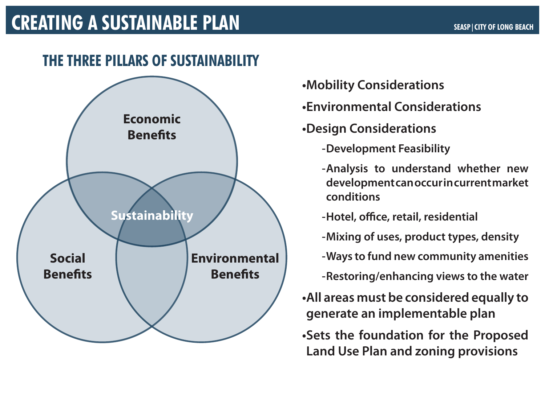#### **•Mobility Considerations**

#### **•Environmental Considerations**

#### **•Design Considerations**

# **development can occur in current market**

- 
- 

- **-Development Feasibility**
- **-Analysis to understand whether new conditions**
- **-Hotel, office, retail, residential**
- **-Mixing of uses, product types, density**
- **-Ways to fund new community amenities**
- **-Restoring/enhancing views to the water**
- **•All areas must be considered equally to generate an implementable plan**
- **•Sets the foundation for the Proposed Land Use Plan and zoning provisions**

# **CREATING A SUSTAINABLE PLAN** SEASPICITY OF LONG BEACH

# **THE THREE PILLARS OF SUSTAINABILITY**

### **Economic Benefits**

#### **Social Benefits**

#### **Environmental Benefits**

## **Sustainability**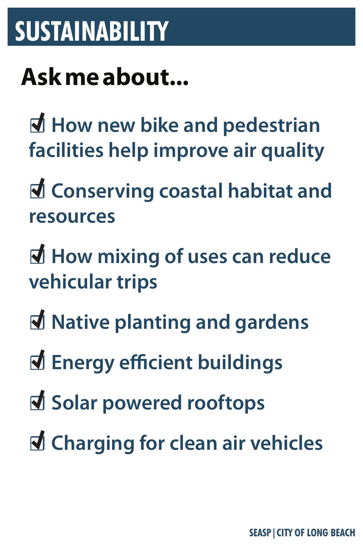

# ☐ **How new bike and pedestrian facilities help improve air quality**

### ☐ **Conserving coastal habitat and resources**

## ☐ **How mixing of uses can reduce vehicular trips**

## ☐ **Native planting and gardens**

☐ **Energy efficient buildings**

# ☐ **Solar powered rooftops**

### ☐ **Charging for clean air vehicles**

# **SUSTAINABILITY**

### **Ask me about...**